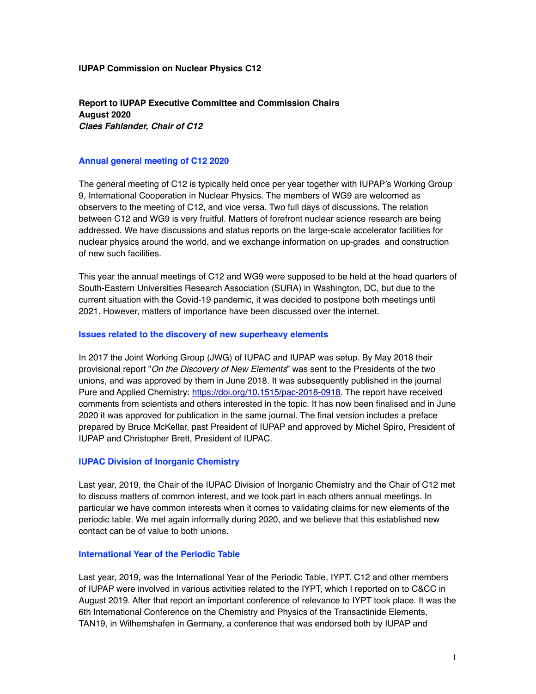#### **IUPAP Commission on Nuclear Physics C12**

**Report to IUPAP Executive Committee and Commission Chairs August 2020**  *Claes Fahlander, Chair of C12*

#### **Annual general meeting of C12 2020**

The general meeting of C12 is typically held once per year together with IUPAP's Working Group 9, International Cooperation in Nuclear Physics. The members of WG9 are welcomed as observers to the meeting of C12, and vice versa. Two full days of discussions. The relation between C12 and WG9 is very fruitful. Matters of forefront nuclear science research are being addressed. We have discussions and status reports on the large-scale accelerator facilities for nuclear physics around the world, and we exchange information on up-grades and construction of new such facilities.

This year the annual meetings of C12 and WG9 were supposed to be held at the head quarters of South-Eastern Universities Research Association (SURA) in Washington, DC, but due to the current situation with the Covid-19 pandemic, it was decided to postpone both meetings until 2021. However, matters of importance have been discussed over the internet.

#### **Issues related to the discovery of new superheavy elements**

In 2017 the Joint Working Group (JWG) of IUPAC and IUPAP was setup. By May 2018 their provisional report "*On the Discovery of New Elements*" was sent to the Presidents of the two unions, and was approved by them in June 2018. It was subsequently published in the journal Pure and Applied Chemistry: <https://doi.org/10.1515/pac-2018-0918>. The report have received comments from scientists and others interested in the topic. It has now been finalised and in June 2020 it was approved for publication in the same journal. The final version includes a preface prepared by Bruce McKellar, past President of IUPAP and approved by Michel Spiro, President of IUPAP and Christopher Brett, President of IUPAC.

#### **IUPAC Division of Inorganic Chemistry**

Last year, 2019, the Chair of the IUPAC Division of Inorganic Chemistry and the Chair of C12 met to discuss matters of common interest, and we took part in each others annual meetings. In particular we have common interests when it comes to validating claims for new elements of the periodic table. We met again informally during 2020, and we believe that this established new contact can be of value to both unions.

#### **International Year of the Periodic Table**

Last year, 2019, was the International Year of the Periodic Table, IYPT. C12 and other members of IUPAP were involved in various activities related to the IYPT, which I reported on to C&CC in August 2019. After that report an important conference of relevance to IYPT took place. It was the 6th International Conference on the Chemistry and Physics of the Transactinide Elements, TAN19, in Wilhemshafen in Germany, a conference that was endorsed both by IUPAP and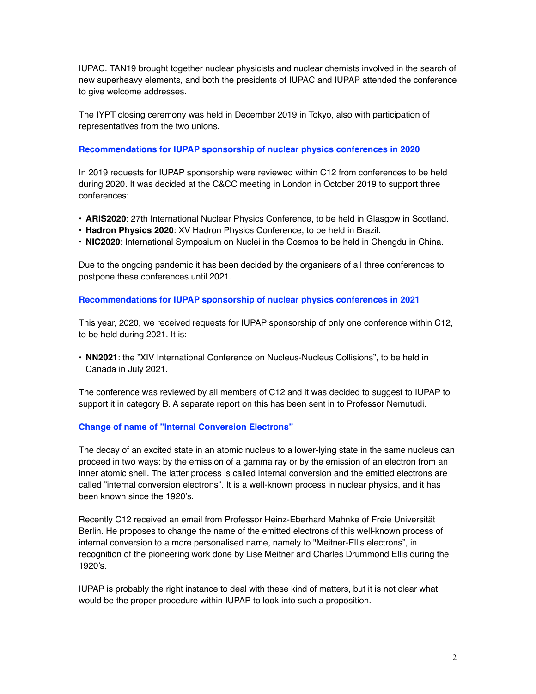IUPAC. TAN19 brought together nuclear physicists and nuclear chemists involved in the search of new superheavy elements, and both the presidents of IUPAC and IUPAP attended the conference to give welcome addresses.

The IYPT closing ceremony was held in December 2019 in Tokyo, also with participation of representatives from the two unions.

## **Recommendations for IUPAP sponsorship of nuclear physics conferences in 2020**

In 2019 requests for IUPAP sponsorship were reviewed within C12 from conferences to be held during 2020. It was decided at the C&CC meeting in London in October 2019 to support three conferences:

- **ARIS2020**: 27th International Nuclear Physics Conference, to be held in Glasgow in Scotland.
- **Hadron Physics 2020**: XV Hadron Physics Conference, to be held in Brazil.
- **NIC2020**: International Symposium on Nuclei in the Cosmos to be held in Chengdu in China.

Due to the ongoing pandemic it has been decided by the organisers of all three conferences to postpone these conferences until 2021.

## **Recommendations for IUPAP sponsorship of nuclear physics conferences in 2021**

This year, 2020, we received requests for IUPAP sponsorship of only one conference within C12, to be held during 2021. It is:

• **NN2021**: the "XIV International Conference on Nucleus-Nucleus Collisions", to be held in Canada in July 2021.

The conference was reviewed by all members of C12 and it was decided to suggest to IUPAP to support it in category B. A separate report on this has been sent in to Professor Nemutudi.

# **Change of name of "Internal Conversion Electrons"**

The decay of an excited state in an atomic nucleus to a lower-lying state in the same nucleus can proceed in two ways: by the emission of a gamma ray or by the emission of an electron from an inner atomic shell. The latter process is called internal conversion and the emitted electrons are called "internal conversion electrons". It is a well-known process in nuclear physics, and it has been known since the 1920's.

Recently C12 received an email from Professor Heinz-Eberhard Mahnke of Freie Universität Berlin. He proposes to change the name of the emitted electrons of this well-known process of internal conversion to a more personalised name, namely to "Meitner-Ellis electrons", in recognition of the pioneering work done by Lise Meitner and Charles Drummond Ellis during the 1920's.

IUPAP is probably the right instance to deal with these kind of matters, but it is not clear what would be the proper procedure within IUPAP to look into such a proposition.